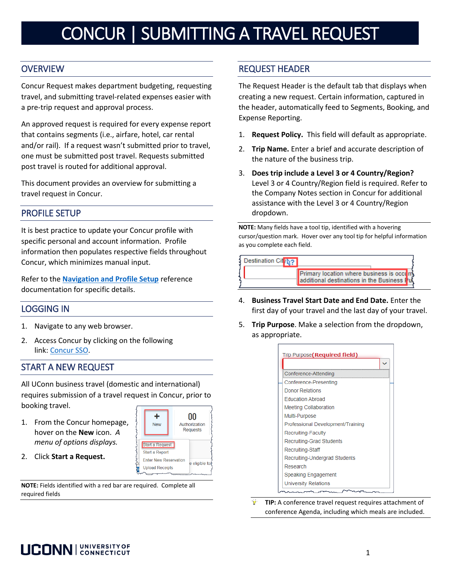# CONCUR | SUBMITTING A TRAVEL REQUEST

# **OVERVIEW**

Concur Request makes department budgeting, requesting travel, and submitting travel-related expenses easier with a pre-trip request and approval process.

An approved request is required for every expense report that contains segments (i.e., airfare, hotel, car rental and/or rail). If a request wasn't submitted prior to travel, one must be submitted post travel. Requests submitted post travel is routed for additional approval.

This document provides an overview for submitting a travel request in Concur.

# PROFILE SETUP

It is best practice to update your Concur profile with specific personal and account information. Profile information then populates respective fields throughout Concur, which minimizes manual input.

Refer to the **[Navigation and Profile Setup](https://concurproject.uconn.edu/wp-content/uploads/sites/2762/2019/10/Getting-Started-Navigation-and-Profile-Setup.pdf)** reference documentation for specific details.

### LOGGING IN

- 1. Navigate to any web browser.
- 2. Access Concur by clicking on the following link: [Concur SSO.](https://shibboleth.uconn.edu/idp/profile/SAML2/Unsolicited/SSO?providerId=https://www.concursolutions.com)

# START A NEW REQUEST

All UConn business travel (domestic and international) requires submission of a travel request in Concur, prior to booking travel.

╇

**New** 

Start a Request

**Upload Receipts** 

**Enter New Reservation** 

Start a Report

 $00\,$ 

Authorization

Requests

e eligible for

- 1. From the Concur homepage, hover on the **New** icon. *A menu of options displays.*
- 2. Click **Start a Request.**

**NOTE:** Fields identified with a red bar are required. Complete all required fields

# REQUEST HEADER

The Request Header is the default tab that displays when creating a new request. Certain information, captured in the header, automatically feed to Segments, Booking, and Expense Reporting.

- 1. **Request Policy.** This field will default as appropriate.
- 2. **Trip Name.** Enter a brief and accurate description of the nature of the business trip.
- 3. **Does trip include a Level 3 or 4 Country/Region?** Level 3 or 4 Country/Region field is required. Refer to the Company Notes section in Concur for additional assistance with the Level 3 or 4 Country/Region dropdown.

**NOTE:** Many fields have a tool tip, identified with a hovering cursor/question mark. Hover over any tool tip for helpful information as you complete each field.



- 4. **Business Travel Start Date and End Date.** Enter the first day of your travel and the last day of your travel.
- 5. **Trip Purpose**. Make a selection from the dropdown, as appropriate.



**TIP:** A conference travel request requires attachment of conference Agenda, including which meals are included.

# **UCONN | UNIVERSITY OF**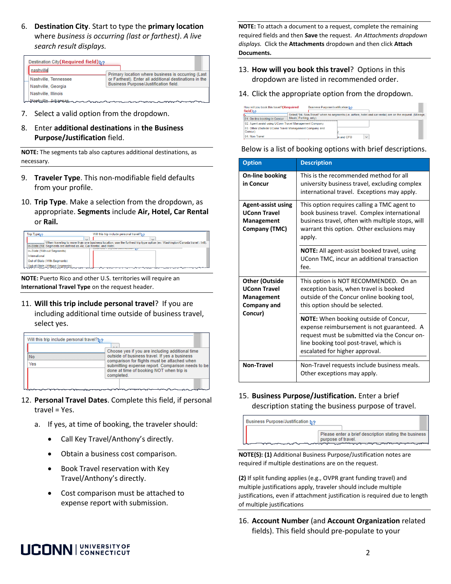6. **Destination City**. Start to type the **primary location** where *business is occurring (last or farthest)*. *A live search result displays.* 

| Destination City (Required field) $\>$ |                                                        |  |  |  |  |  |
|----------------------------------------|--------------------------------------------------------|--|--|--|--|--|
| nasbvillel                             | Primary location where business is occurring (Last     |  |  |  |  |  |
| Nashville, Tennessee                   | or Farthest). Enter all additional destinations in the |  |  |  |  |  |
| Nashville, Georgia                     | Business Purpose/Justification field.                  |  |  |  |  |  |
| Nashville, Illinois                    |                                                        |  |  |  |  |  |
| <u>Markwille Arkansas noon moodoon</u> |                                                        |  |  |  |  |  |

- 7. Select a valid option from the dropdown.
- 8. Enter **additional destinations** in **the Business Purpose/Justification** field.

**NOTE:** The segments tab also captures additional destinations, as necessary.

- 9. **Traveler Type**. This non-modifiable field defaults from your profile.
- 10. **Trip Type**. Make a selection from the dropdown, as appropriate. **Segments** include **Air, Hotel, Car Rental**  or **Rail.**

| $\sim$<br>When traveling to more than one business location, use the furthest trip type option (ex: Washington/Canada travel - Intl). |
|---------------------------------------------------------------------------------------------------------------------------------------|
|                                                                                                                                       |
|                                                                                                                                       |
|                                                                                                                                       |
|                                                                                                                                       |
|                                                                                                                                       |
|                                                                                                                                       |
|                                                                                                                                       |

**NOTE:** Puerto Rico and other U.S. territories will require an **International Travel Type** on the request header.

select yes.

11. **Will this trip include personal travel**? If you are including additional time outside of business travel,

| Will this trip include personal travel? $\>$ |                                                                                                                                                                                                              |  |  |  |  |
|----------------------------------------------|--------------------------------------------------------------------------------------------------------------------------------------------------------------------------------------------------------------|--|--|--|--|
|                                              |                                                                                                                                                                                                              |  |  |  |  |
|                                              | Choose yes if you are including additional time                                                                                                                                                              |  |  |  |  |
| Mo                                           | outside of business travel. If yes a business<br>comparison for flights must be attached when<br>submitting expense report. Comparison needs to be<br>done at time of booking NOT when trip is<br>completed. |  |  |  |  |
| Yes                                          |                                                                                                                                                                                                              |  |  |  |  |
|                                              |                                                                                                                                                                                                              |  |  |  |  |
|                                              |                                                                                                                                                                                                              |  |  |  |  |

- 12. **Personal Travel Dates**. Complete this field, if personal travel = Yes.
	- a. If yes, at time of booking, the traveler should:
		- Call Key Travel/Anthony's directly.
		- Obtain a business cost comparison.
		- Book Travel reservation with Key Travel/Anthony's directly.
		- Cost comparison must be attached to expense report with submission.

**NOTE:** To attach a document to a request, complete the remaining required fields and then **Save** the request. *An Attachments dropdown displays.* Click the **Attachments** dropdown and then click **Attach Documents.** 

- 13. **How will you book this travel**? Options in this dropdown are listed in recommended order.
- 14. Click the appropriate option from the dropdown.

| How will you book this travel? (Required<br>field) $\frac{1}{2}$ ? | Business Purpose/Justification No |            |                                                                                                             |
|--------------------------------------------------------------------|-----------------------------------|------------|-------------------------------------------------------------------------------------------------------------|
| 01. On-line booking in Concur                                      | Meals, Parking, only).            |            | Select "04. Non-Travel" when no segments (i.e. airfare, hotel and car rental) are on the request. (Mileage, |
| 02. Agent-assist using UConn Travel Management Company             |                                   |            |                                                                                                             |
| 03. Other (Outside UConn Travel Management Company and<br>Concur)  |                                   |            |                                                                                                             |
| 04. Non-Travel                                                     |                                   | in and CFO | $\checkmark$                                                                                                |

#### Below is a list of booking options with brief descriptions.

| <b>Option</b>                                                                        | <b>Description</b>                                                                                                                                                                                                      |  |  |  |
|--------------------------------------------------------------------------------------|-------------------------------------------------------------------------------------------------------------------------------------------------------------------------------------------------------------------------|--|--|--|
| <b>On-line booking</b><br>in Concur                                                  | This is the recommended method for all<br>university business travel, excluding complex<br>international travel. Exceptions may apply.                                                                                  |  |  |  |
| <b>Agent-assist using</b><br><b>UConn Travel</b><br>Management<br>Company (TMC)      | This option requires calling a TMC agent to<br>book business travel. Complex international<br>business travel, often with multiple stops, will<br>warrant this option. Other exclusions may<br>apply.                   |  |  |  |
|                                                                                      | <b>NOTE:</b> All agent-assist booked travel, using<br>UConn TMC, incur an additional transaction<br>fee.                                                                                                                |  |  |  |
| <b>Other (Outside</b><br><b>UConn Travel</b><br>Management<br>Company and<br>Concur) | This option is NOT RECOMMENDED. On an<br>exception basis, when travel is booked<br>outside of the Concur online booking tool,<br>this option should be selected.                                                        |  |  |  |
|                                                                                      | <b>NOTE:</b> When booking outside of Concur,<br>expense reimbursement is not guaranteed. A<br>request must be submitted via the Concur on-<br>line booking tool post-travel, which is<br>escalated for higher approval. |  |  |  |
| <b>Non-Travel</b>                                                                    | Non-Travel requests include business meals.<br>Other exceptions may apply.                                                                                                                                              |  |  |  |

15. **Business Purpose/Justification.** Enter a brief description stating the business purpose of travel.



**NOTE(S): (1)** Additional Business Purpose/Justification notes are required if multiple destinations are on the request.

**(2)** If split funding applies (e.g., OVPR grant funding travel) and multiple justifications apply, traveler should include multiple justifications, even if attachment justification is required due to length of multiple justifications

16. **Account Number** (and **Account Organization** related fields). This field should pre-populate to your

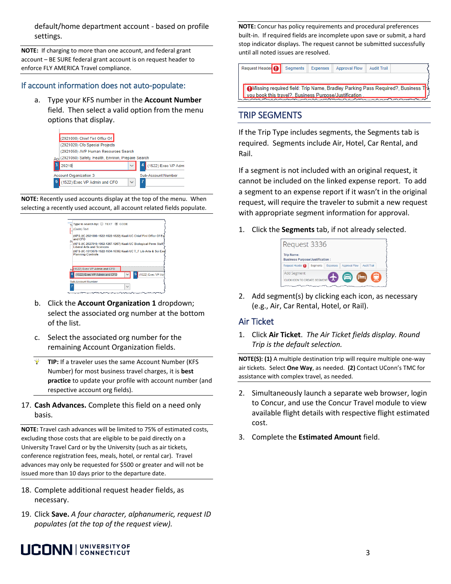default/home department account - based on profile settings.

**NOTE:** If charging to more than one account, and federal grant account – BE SURE federal grant account is on request header to enforce FLY AMERICA Travel compliance.

#### If account information does not auto-populate:

a. Type your KFS number in the **Account Number** field. Then select a valid option from the menu options that display.

| (2921000) Chief Finl Officr Of                    |  |                           |  |  |  |  |
|---------------------------------------------------|--|---------------------------|--|--|--|--|
| (2921020) Cfo Special Projects                    |  |                           |  |  |  |  |
| (2921050) AVP Human Resources Search              |  |                           |  |  |  |  |
| (2921060) Safety, Health, Environ, Prepare Search |  |                           |  |  |  |  |
| 29210                                             |  | (1522) Exec VP Admi       |  |  |  |  |
| <b>Account Organization 3</b>                     |  | <b>Sub-Account Number</b> |  |  |  |  |
| 1522) Exec VP Admin and CFO                       |  |                           |  |  |  |  |

**NOTE:** Recently used accounts display at the top of the menu. When selecting a recently used account, all account related fields populate.



- b. Click the **Account Organization 1** dropdown; select the associated org number at the bottom of the list.
- c. Select the associated org number for the remaining Account Organization fields.
- $\mathbf{Q}^{\star}$ **TIP:** If a traveler uses the same Account Number (KFS Number) for most business travel charges, it is **best practice** to update your profile with account number (and respective account org fields).
- 17. **Cash Advances.** Complete this field on a need only basis.

**NOTE:** Travel cash advances will be limited to 75% of estimated costs, excluding those costs that are eligible to be paid directly on a University Travel Card or by the University (such as air tickets, conference registration fees, meals, hotel, or rental car). Travel advances may only be requested for \$500 or greater and will not be issued more than 10 days prior to the departure date.

- 18. Complete additional request header fields, as necessary.
- 19. Click **Save.** *A four character, alphanumeric, request ID populates (at the top of the request view).*

**NOTE:** Concur has policy requirements and procedural preferences built-in. If required fields are incomplete upon save or submit, a hard stop indicator displays. The request cannot be submitted successfully until all noted issues are resolved.

Request Header Segments Expenses Approval Flow **Audit Trail** 

CMissing required field: Trip Name, Bradley Parking Pass Required?, Business vou book this travel?. Business Purpose/Justification

#### TRIP SEGMENTS

If the Trip Type includes segments, the Segments tab is required. Segments include Air, Hotel, Car Rental, and Rail.

If a segment is not included with an original request, it cannot be included on the linked expense report. To add a segment to an expense report if it wasn't in the original request, will require the traveler to submit a new request with appropriate segment information for approval.

1. Click the **Segments** tab, if not already selected.

| Request 3336                                                |          |          |                      |                    |
|-------------------------------------------------------------|----------|----------|----------------------|--------------------|
| <b>Trip Name:</b><br><b>Business Purpose/Justification:</b> |          |          |                      |                    |
| Request Header                                              | Seaments | Expenses | <b>Approval Flow</b> | <b>Audit Trail</b> |
| <b>Add Segment</b><br>CLICK ICON TO CREATE SEGMENT          |          |          | 6                    |                    |

2. Add segment(s) by clicking each icon, as necessary (e.g., Air, Car Rental, Hotel, or Rail).

#### Air Ticket

1. Click **Air Ticket**. *The Air Ticket fields display. Round Trip is the default selection.*

**NOTE(S): (1)** A multiple destination trip will require multiple one-way air tickets. Select **One Way**, as needed. **(2)** Contact UConn's TMC for assistance with complex travel, as needed.

- 2. Simultaneously launch a separate web browser, login to Concur, and use the Concur Travel module to view available flight details with respective flight estimated cost.
- 3. Complete the **Estimated Amount** field.

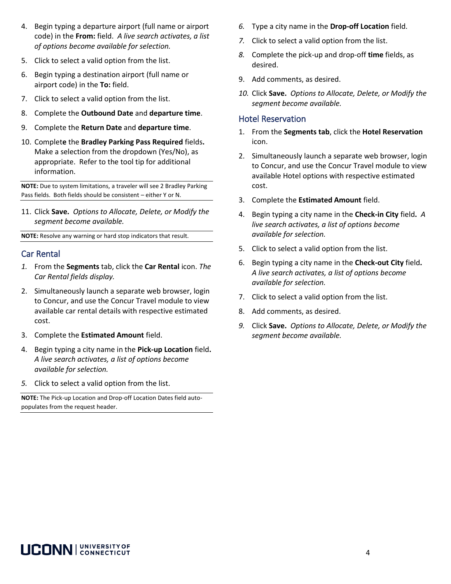- 4. Begin typing a departure airport (full name or airport code) in the **From:** field. *A live search activates, a list of options become available for selection.*
- 5. Click to select a valid option from the list.
- 6. Begin typing a destination airport (full name or airport code) in the **To:** field.
- 7. Click to select a valid option from the list.
- 8. Complete the **Outbound Date** and **departure time**.
- 9. Complete the **Return Date** and **departure time**.
- 10. Complet**e** the **Bradley Parking Pass Required** fields**.** Make a selection from the dropdown (Yes/No), as appropriate. Refer to the tool tip for additional information.

**NOTE:** Due to system limitations, a traveler will see 2 Bradley Parking Pass fields. Both fields should be consistent – either Y or N.

11. Click **Save.** *Options to Allocate, Delete, or Modify the segment become available.*

**NOTE:** Resolve any warning or hard stop indicators that result.

#### Car Rental

- *1.* From the **Segments** tab, click the **Car Rental** icon. *The Car Rental fields display.*
- 2. Simultaneously launch a separate web browser, login to Concur, and use the Concur Travel module to view available car rental details with respective estimated cost.
- 3. Complete the **Estimated Amount** field.
- 4. Begin typing a city name in the **Pick-up Location** field**.**  *A live search activates, a list of options become available for selection.*
- *5.* Click to select a valid option from the list.

**NOTE:** The Pick-up Location and Drop-off Location Dates field autopopulates from the request header.

- *6.* Type a city name in the **Drop-off Location** field.
- *7.* Click to select a valid option from the list.
- *8.* Complete the pick-up and drop-off **time** fields, as desired.
- 9. Add comments, as desired.
- *10.* Click **Save.** *Options to Allocate, Delete, or Modify the segment become available.*

#### Hotel Reservation

- 1. From the **Segments tab**, click the **Hotel Reservation** icon.
- 2. Simultaneously launch a separate web browser, login to Concur, and use the Concur Travel module to view available Hotel options with respective estimated cost.
- 3. Complete the **Estimated Amount** field.
- 4. Begin typing a city name in the **Check-in City** field**.** *A live search activates, a list of options become available for selection.*
- 5. Click to select a valid option from the list.
- 6. Begin typing a city name in the **Check-out City** field**.**  *A live search activates, a list of options become available for selection.*
- 7. Click to select a valid option from the list.
- 8. Add comments, as desired.
- *9.* Click **Save.** *Options to Allocate, Delete, or Modify the segment become available.*

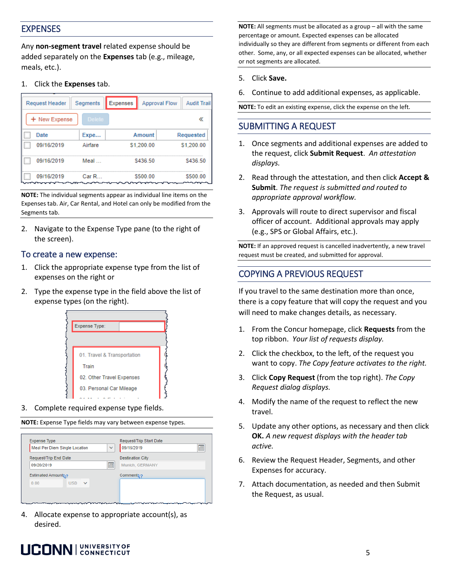#### EXPENSES

Any **non-segment travel** related expense should be added separately on the **Expenses** tab (e.g., mileage, meals, etc.).

1. Click the **Expenses** tab.

| Segments<br><b>Request Header</b> |            |           | Expenses<br><b>Approval Flow</b> |            |  | <b>Audit Trail</b> |  |
|-----------------------------------|------------|-----------|----------------------------------|------------|--|--------------------|--|
| <b>Delete</b><br>+ New Expense    |            |           |                                  |            |  |                    |  |
|                                   | Date       | Expe      |                                  | Amount     |  | Requested          |  |
|                                   | 09/16/2019 | Airfare   |                                  | \$1,200.00 |  | \$1,200.00         |  |
|                                   | 09/16/2019 | Meal      |                                  | \$436.50   |  | \$436.50           |  |
|                                   | 09/16/2019 | CarR<br>∼ |                                  | \$500.00   |  | \$500.00           |  |

**NOTE:** The individual segments appear as individual line items on the Expenses tab. Air, Car Rental, and Hotel can only be modified from the Segments tab.

2. Navigate to the Expense Type pane (to the right of the screen).

#### To create a new expense:

- 1. Click the appropriate expense type from the list of expenses on the right or
- 2. Type the expense type in the field above the list of expense types (on the right).



3. Complete required expense type fields.

**NOTE:** Expense Type fields may vary between expense types.



4. Allocate expense to appropriate account(s), as desired.

#### **NOTE:** All segments must be allocated as a group – all with the same percentage or amount. Expected expenses can be allocated individually so they are different from segments or different from each other. Some, any, or all expected expenses can be allocated, whether or not segments are allocated.

- 5. Click **Save.**
- 6. Continue to add additional expenses, as applicable.

**NOTE:** To edit an existing expense, click the expense on the left.

# SUBMITTING A REQUEST

- 1. Once segments and additional expenses are added to the request, click **Submit Request**. *An attestation displays.*
- 2. Read through the attestation, and then click **Accept & Submit**. *The request is submitted and routed to appropriate approval workflow.*
- 3. Approvals will route to direct supervisor and fiscal officer of account. Additional approvals may apply (e.g., SPS or Global Affairs, etc.).

**NOTE:** If an approved request is cancelled inadvertently, a new travel request must be created, and submitted for approval.

# COPYING A PREVIOUS REQUEST

If you travel to the same destination more than once, there is a copy feature that will copy the request and you will need to make changes details, as necessary.

- 1. From the Concur homepage, click **Requests** from the top ribbon. *Your list of requests display.*
- 2. Click the checkbox, to the left, of the request you want to copy. *The Copy feature activates to the right.*
- 3. Click **Copy Request** (from the top right). *The Copy Request dialog displays.*
- 4. Modify the name of the request to reflect the new travel.
- 5. Update any other options, as necessary and then click **OK.** *A new request displays with the header tab active.*
- 6. Review the Request Header, Segments, and other Expenses for accuracy.
- 7. Attach documentation, as needed and then Submit the Request, as usual.